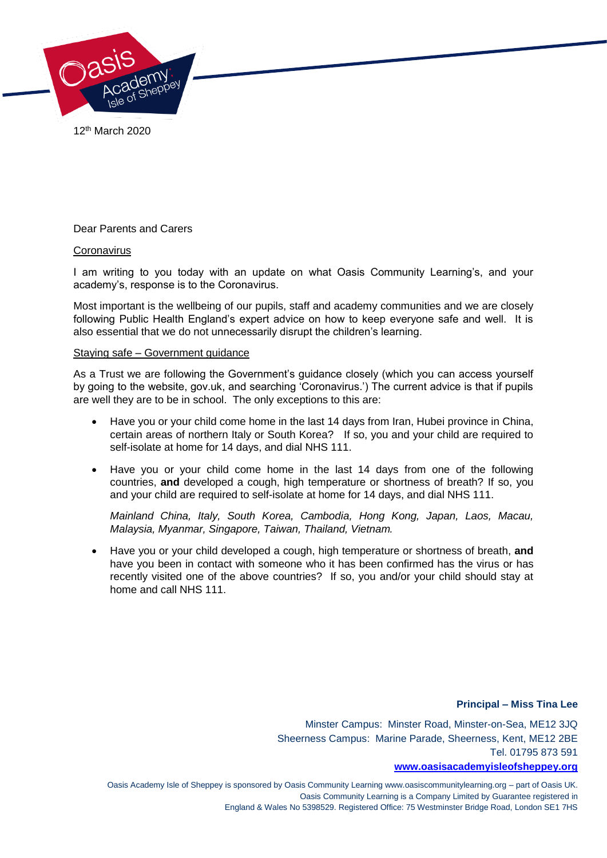

12th March 2020

Dear Parents and Carers

## **Coronavirus**

I am writing to you today with an update on what Oasis Community Learning's, and your academy's, response is to the Coronavirus.

Most important is the wellbeing of our pupils, staff and academy communities and we are closely following Public Health England's expert advice on how to keep everyone safe and well. It is also essential that we do not unnecessarily disrupt the children's learning.

#### Staying safe – Government guidance

As a Trust we are following the Government's guidance closely (which you can access yourself by going to the website, gov.uk, and searching 'Coronavirus.') The current advice is that if pupils are well they are to be in school. The only exceptions to this are:

- Have you or your child come home in the last 14 days from Iran, Hubei province in China, certain areas of northern Italy or South Korea? If so, you and your child are required to self-isolate at home for 14 days, and dial NHS 111.
- Have you or your child come home in the last 14 days from one of the following countries, **and** developed a cough, high temperature or shortness of breath? If so, you and your child are required to self-isolate at home for 14 days, and dial NHS 111.

*Mainland China, Italy, South Korea, Cambodia, Hong Kong, Japan, Laos, Macau, Malaysia, Myanmar, Singapore, Taiwan, Thailand, Vietnam.* 

 Have you or your child developed a cough, high temperature or shortness of breath, **and**  have you been in contact with someone who it has been confirmed has the virus or has recently visited one of the above countries? If so, you and/or your child should stay at home and call NHS 111.

## **Principal – Miss Tina Lee**

Minster Campus: Minster Road, Minster-on-Sea, ME12 3JQ Sheerness Campus: Marine Parade, Sheerness, Kent, ME12 2BE Tel. 01795 873 591

#### **[www.oasisacademyisleofsheppey.org](http://www.oasisacademyisleofsheppey.org/)**

Oasis Academy Isle of Sheppey is sponsored by Oasis Community Learning www.oasiscommunitylearning.org – part of Oasis UK. Oasis Community Learning is a Company Limited by Guarantee registered in England & Wales No 5398529. Registered Office: 75 Westminster Bridge Road, London SE1 7HS